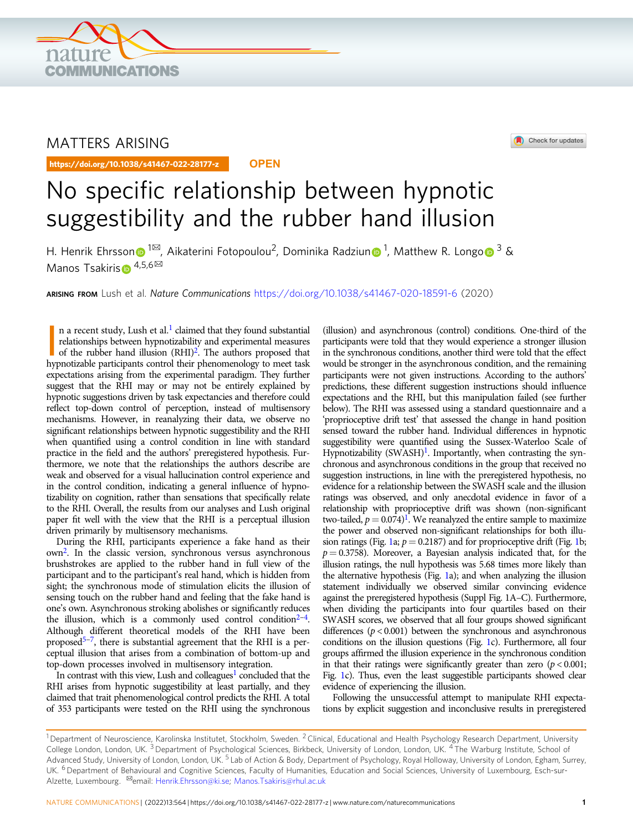

## MATTERS ARISING

https://doi.org/10.1038/s41467-022-28177-z **OPEN**



# No specific relationship between hypnotic suggestibility and the rubber hand illusion

H. He[n](http://orcid.org/0000-0001-6374-7775)rik Ehrss[o](http://orcid.org/0000-0002-2450-4903)n⋒<sup>1⊠</sup>, Aikaterini Fotopoulou<sup>2</sup>, Dominika Radziun⋒<sup>1</sup>, Matthew R. Longo⋒<sup>3</sup> & Mano[s](http://orcid.org/0000-0001-7753-7576) Tsakiris  $\mathbf{p}^{4,5,6}$  $\mathbf{p}^{4,5,6}$  $\mathbf{p}^{4,5,6}$ 

ARISING FROM Lush et al. Nature Communications <https://doi.org/10.1038/s41467-020-18591-6> (2020)

n a recent study, Lush et al.<sup>1</sup> claimed that they found substantial relationships between hypnotizability and experimental measures of the rubber hand illusion  $(RHI)^2$ . The authors proposed that hypnotizable participants n a recent study, Lush et al. $<sup>1</sup>$  $<sup>1</sup>$  $<sup>1</sup>$  claimed that they found substantial</sup> relationships between hypnotizability and experimental measures of the rubber hand illusion  $(RHI)<sup>2</sup>$ . The authors proposed that expectations arising from the experimental paradigm. They further suggest that the RHI may or may not be entirely explained by hypnotic suggestions driven by task expectancies and therefore could reflect top-down control of perception, instead of multisensory mechanisms. However, in reanalyzing their data, we observe no significant relationships between hypnotic suggestibility and the RHI when quantified using a control condition in line with standard practice in the field and the authors' preregistered hypothesis. Furthermore, we note that the relationships the authors describe are weak and observed for a visual hallucination control experience and in the control condition, indicating a general influence of hypnotizability on cognition, rather than sensations that specifically relate to the RHI. Overall, the results from our analyses and Lush original paper fit well with the view that the RHI is a perceptual illusion driven primarily by multisensory mechanisms.

During the RHI, participants experience a fake hand as their ow[n2.](#page-2-0) In the classic version, synchronous versus asynchronous brushstrokes are applied to the rubber hand in full view of the participant and to the participant's real hand, which is hidden from sight; the synchronous mode of stimulation elicits the illusion of sensing touch on the rubber hand and feeling that the fake hand is one's own. Asynchronous stroking abolishes or significantly reduces the illusion, which is a commonly used control condition $2-4$  $2-4$ . Although different theoretical models of the RHI have been proposed<sup>[5](#page-2-0)-[7](#page-2-0)</sup>, there is substantial agreement that the RHI is a perceptual illusion that arises from a combination of bottom-up and top-down processes involved in multisensory integration.

In contrast with this view, Lush and colleagues<sup>1</sup> concluded that the RHI arises from hypnotic suggestibility at least partially, and they claimed that trait phenomenological control predicts the RHI. A total of 353 participants were tested on the RHI using the synchronous

(illusion) and asynchronous (control) conditions. One-third of the participants were told that they would experience a stronger illusion in the synchronous conditions, another third were told that the effect would be stronger in the asynchronous condition, and the remaining participants were not given instructions. According to the authors' predictions, these different suggestion instructions should influence expectations and the RHI, but this manipulation failed (see further below). The RHI was assessed using a standard questionnaire and a 'proprioceptive drift test' that assessed the change in hand position sensed toward the rubber hand. Individual differences in hypnotic suggestibility were quantified using the Sussex-Waterloo Scale of Hypnotizability (SWASH)<sup>1</sup>. Importantly, when contrasting the synchronous and asynchronous conditions in the group that received no suggestion instructions, in line with the preregistered hypothesis, no evidence for a relationship between the SWASH scale and the illusion ratings was observed, and only anecdotal evidence in favor of a relationship with proprioceptive drift was shown (non-significant two-tailed,  $p = 0.074$ <sup>[1](#page-2-0)</sup>. We reanalyzed the entire sample to maximize the power and observed non-significant relationships for both illu-sion ratings (Fig. [1](#page-1-0)a;  $p = 0.2187$ ) and for proprioceptive drift (Fig. 1b;  $p = 0.3758$ ). Moreover, a Bayesian analysis indicated that, for the illusion ratings, the null hypothesis was 5.68 times more likely than the alternative hypothesis (Fig. [1a](#page-1-0)); and when analyzing the illusion statement individually we observed similar convincing evidence against the preregistered hypothesis (Suppl Fig. 1A–C). Furthermore, when dividing the participants into four quartiles based on their SWASH scores, we observed that all four groups showed significant differences  $(p < 0.001)$  between the synchronous and asynchronous conditions on the illusion questions (Fig. [1c](#page-1-0)). Furthermore, all four groups affirmed the illusion experience in the synchronous condition in that their ratings were significantly greater than zero  $(p < 0.001;$ Fig. [1c](#page-1-0)). Thus, even the least suggestible participants showed clear evidence of experiencing the illusion.

Following the unsuccessful attempt to manipulate RHI expectations by explicit suggestion and inconclusive results in preregistered

 $1$ Department of Neuroscience, Karolinska Institutet, Stockholm, Sweden. <sup>2</sup> Clinical, Educational and Health Psychology Research Department, University College London, London, UK. <sup>3</sup> Department of Psychological Sciences, Birkbeck, University of London, London, UK. <sup>4</sup> The Warburg Institute, School of Advanced Study, University of London, London, UK.<sup>5</sup> Lab of Action & Body, Department of Psychology, Royal Holloway, University of London, Egham, Surrey, UK. <sup>6</sup> Department of Behavioural and Cognitive Sciences, Faculty of Humanities, Education and Social Sciences, University of Luxembourg, Esch-sur-Alzette, Luxembourg. <sup>⊠</sup>email: [Henrik.Ehrsson@ki.se;](mailto:Henrik.Ehrsson@ki.se) [Manos.Tsakiris@rhul.ac.uk](mailto:Manos.Tsakiris@rhul.ac.uk)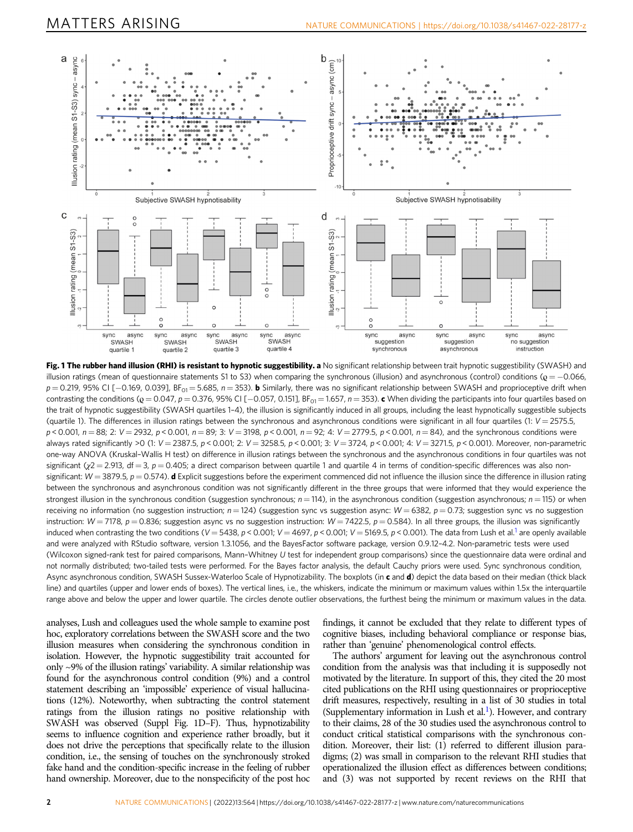<span id="page-1-0"></span>

Fig. 1 The rubber hand illusion (RHI) is resistant to hypnotic suggestibility. a No significant relationship between trait hypnotic suggestibility (SWASH) and illusion ratings (mean of questionnaire statements S1 to S3) when comparing the synchronous (illusion) and asynchronous (control) conditions ( $\mathbf{Q} = -0.066$ ,  $p = 0.219$ , 95% CI [-0.169, 0.039], BF<sub>01</sub> = 5.685, n = 353). **b** Similarly, there was no significant relationship between SWASH and proprioceptive drift when contrasting the conditions ( $\mathbf{Q} = 0.047$ ,  $p = 0.376$ ,  $95\%$  CI [-0.057, 0.151], BF<sub>01</sub> = 1.657, n = 353). c When dividing the participants into four quartiles based on the trait of hypnotic suggestibility (SWASH quartiles 1–4), the illusion is significantly induced in all groups, including the least hypnotically suggestible subjects (quartile 1). The differences in illusion ratings between the synchronous and asynchronous conditions were significant in all four quartiles (1:  $V = 2575.5$ ,  $p < 0.001$ ,  $n = 88$ ; 2:  $V = 2932$ ,  $p < 0.001$ ,  $n = 89$ ; 3:  $V = 3198$ ,  $p < 0.001$ ,  $n = 92$ ; 4:  $V = 2779.5$ ,  $p < 0.001$ ,  $n = 84$ ), and the synchronous conditions were always rated significantly >0 (1: V = 2387.5, p < 0.001; 2: V = 3258.5, p < 0.001; 3: V = 3724, p < 0.001; 4: V = 3271.5, p < 0.001). Moreover, non-parametric one-way ANOVA (Kruskal–Wallis H test) on difference in illusion ratings between the synchronous and the asynchronous conditions in four quartiles was not significant ( $y2 = 2.913$ , df = 3,  $p = 0.405$ ; a direct comparison between quartile 1 and quartile 4 in terms of condition-specific differences was also nonsignificant:  $W = 3879.5$ ,  $p = 0.574$ ). **d** Explicit suggestions before the experiment commenced did not influence the illusion since the difference in illusion rating between the synchronous and asynchronous condition was not significantly different in the three groups that were informed that they would experience the strongest illusion in the synchronous condition (suggestion synchronous;  $n = 114$ ), in the asynchronous condition (suggestion asynchronous;  $n = 115$ ) or when receiving no information (no suggestion instruction;  $n = 124$ ) (suggestion sync vs suggestion async:  $W = 6382$ ,  $p = 0.73$ ; suggestion sync vs no suggestion instruction:  $W = 7178$ ,  $p = 0.836$ ; suggestion async vs no suggestion instruction:  $W = 7422.5$ ,  $p = 0.584$ ). In all three groups, the illusion was significantly induced when contrasting the two conditions (V = 5438, p < 0.001; V = 4697, p < 0.001; V = 5169.5, p < 0.001). The data from Lush et al.<sup>1</sup> are openly available and were analyzed with RStudio software, version 1.3.1056, and the BayesFactor software package, version 0.9.12–4.2. Non-parametric tests were used (Wilcoxon signed-rank test for paired comparisons, Mann–Whitney U test for independent group comparisons) since the questionnaire data were ordinal and not normally distributed; two-tailed tests were performed. For the Bayes factor analysis, the default Cauchy priors were used. Sync synchronous condition, Async asynchronous condition, SWASH Sussex-Waterloo Scale of Hypnotizability. The boxplots (in c and d) depict the data based on their median (thick black line) and quartiles (upper and lower ends of boxes). The vertical lines, i.e., the whiskers, indicate the minimum or maximum values within 1.5x the interquartile range above and below the upper and lower quartile. The circles denote outlier observations, the furthest being the minimum or maximum values in the data.

analyses, Lush and colleagues used the whole sample to examine post hoc, exploratory correlations between the SWASH score and the two illusion measures when considering the synchronous condition in isolation. However, the hypnotic suggestibility trait accounted for only ~9% of the illusion ratings' variability. A similar relationship was found for the asynchronous control condition (9%) and a control statement describing an 'impossible' experience of visual hallucinations (12%). Noteworthy, when subtracting the control statement ratings from the illusion ratings no positive relationship with SWASH was observed (Suppl Fig. 1D–F). Thus, hypnotizability seems to influence cognition and experience rather broadly, but it does not drive the perceptions that specifically relate to the illusion condition, i.e., the sensing of touches on the synchronously stroked fake hand and the condition-specific increase in the feeling of rubber hand ownership. Moreover, due to the nonspecificity of the post hoc

findings, it cannot be excluded that they relate to different types of cognitive biases, including behavioral compliance or response bias, rather than 'genuine' phenomenological control effects.

The authors' argument for leaving out the asynchronous control condition from the analysis was that including it is supposedly not motivated by the literature. In support of this, they cited the 20 most cited publications on the RHI using questionnaires or proprioceptive drift measures, respectively, resulting in a list of 30 studies in total (Supplementary information in Lush et al.<sup>[1](#page-2-0)</sup>). However, and contrary to their claims, 28 of the 30 studies used the asynchronous control to conduct critical statistical comparisons with the synchronous condition. Moreover, their list: (1) referred to different illusion paradigms; (2) was small in comparison to the relevant RHI studies that operationalized the illusion effect as differences between conditions; and (3) was not supported by recent reviews on the RHI that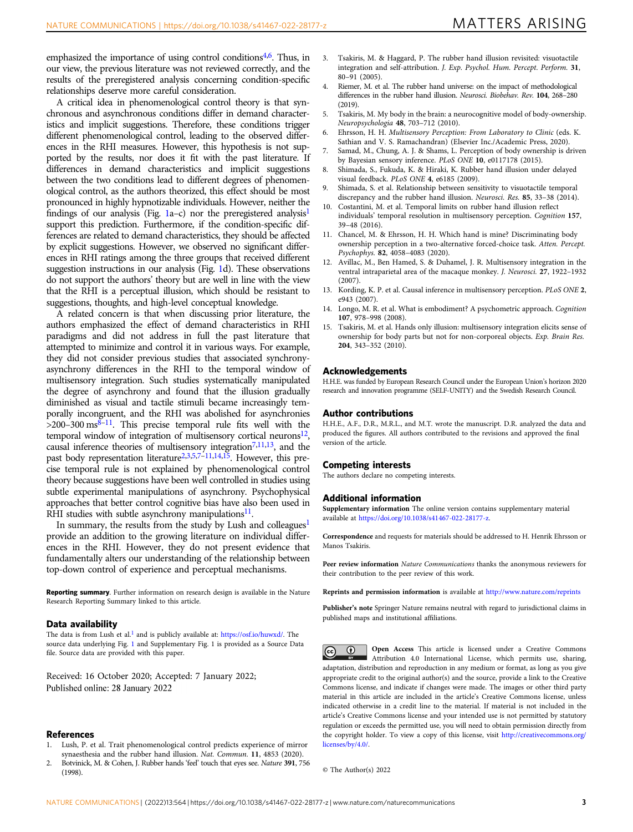<span id="page-2-0"></span>emphasized the importance of using control conditions<sup> $4,6$ </sup>. Thus, in our view, the previous literature was not reviewed correctly, and the results of the preregistered analysis concerning condition-specific relationships deserve more careful consideration.

A critical idea in phenomenological control theory is that synchronous and asynchronous conditions differ in demand characteristics and implicit suggestions. Therefore, these conditions trigger different phenomenological control, leading to the observed differences in the RHI measures. However, this hypothesis is not supported by the results, nor does it fit with the past literature. If differences in demand characteristics and implicit suggestions between the two conditions lead to different degrees of phenomenological control, as the authors theorized, this effect should be most pronounced in highly hypnotizable individuals. However, neither the findings of our analysis (Fig. [1a](#page-1-0)–c) nor the preregistered analysis<sup>1</sup> support this prediction. Furthermore, if the condition-specific differences are related to demand characteristics, they should be affected by explicit suggestions. However, we observed no significant differences in RHI ratings among the three groups that received different suggestion instructions in our analysis (Fig. [1d](#page-1-0)). These observations do not support the authors' theory but are well in line with the view that the RHI is a perceptual illusion, which should be resistant to suggestions, thoughts, and high-level conceptual knowledge.

A related concern is that when discussing prior literature, the authors emphasized the effect of demand characteristics in RHI paradigms and did not address in full the past literature that attempted to minimize and control it in various ways. For example, they did not consider previous studies that associated synchronyasynchrony differences in the RHI to the temporal window of multisensory integration. Such studies systematically manipulated the degree of asynchrony and found that the illusion gradually diminished as visual and tactile stimuli became increasingly temporally incongruent, and the RHI was abolished for asynchronies  $>$ 200–300 ms<sup>8–11</sup>. This precise temporal rule fits well with the temporal window of integration of multisensory cortical neurons $12$ , causal inference theories of multisensory integration<sup>7,11,13</sup>, and the past body representation literature<sup>2,3,5,7-11,14,15</sup>. However, this precise temporal rule is not explained by phenomenological control theory because suggestions have been well controlled in studies using subtle experimental manipulations of asynchrony. Psychophysical approaches that better control cognitive bias have also been used in RHI studies with subtle asynchrony manipulations $11$ .

In summary, the results from the study by Lush and colleagues<sup>1</sup> provide an addition to the growing literature on individual differences in the RHI. However, they do not present evidence that fundamentally alters our understanding of the relationship between top-down control of experience and perceptual mechanisms.

Reporting summary. Further information on research design is available in the Nature Research Reporting Summary linked to this article.

#### Data availability

The data is from Lush et al.<sup>1</sup> and is publicly available at: <https://osf.io/huwxd/>. The source data underlying Fig. [1](#page-1-0) and Supplementary Fig. 1 is provided as a Source Data file. Source data are provided with this paper.

Received: 16 October 2020; Accepted: 7 January 2022; Published online: 28 January 2022

#### References

- 1. Lush, P. et al. Trait phenomenological control predicts experience of mirror synaesthesia and the rubber hand illusion. Nat. Commun. <sup>11</sup>, 4853 (2020).
- 2. Botvinick, M. & Cohen, J. Rubber hands 'feel' touch that eyes see. Nature <sup>391</sup>, 756 (1998).
- 3. Tsakiris, M. & Haggard, P. The rubber hand illusion revisited: visuotactile integration and self-attribution. J. Exp. Psychol. Hum. Percept. Perform. <sup>31</sup>, 80–91 (2005).
- Riemer, M. et al. The rubber hand universe: on the impact of methodological differences in the rubber hand illusion. Neurosci. Biobehav. Rev. <sup>104</sup>, 268–<sup>280</sup>  $(2019)$
- 5. Tsakiris, M. My body in the brain: a neurocognitive model of body-ownership. Neuropsychologia <sup>48</sup>, 703–712 (2010).
- 6. Ehrsson, H. H. Multisensory Perception: From Laboratory to Clinic (eds. K. Sathian and V. S. Ramachandran) (Elsevier Inc./Academic Press, 2020).
- 7. Samad, M., Chung, A. J. & Shams, L. Perception of body ownership is driven by Bayesian sensory inference. PLoS ONE <sup>10</sup>, e0117178 (2015).
- 8. Shimada, S., Fukuda, K. & Hiraki, K. Rubber hand illusion under delayed visual feedback. PLoS ONE <sup>4</sup>, e6185 (2009).
- 9. Shimada, S. et al. Relationship between sensitivity to visuotactile temporal discrepancy and the rubber hand illusion. Neurosci. Res. <sup>85</sup>, 33–38 (2014).
- 10. Costantini, M. et al. Temporal limits on rubber hand illusion reflect individuals' temporal resolution in multisensory perception. Cognition <sup>157</sup>, 39–48 (2016).
- 11. Chancel, M. & Ehrsson, H. H. Which hand is mine? Discriminating body ownership perception in a two-alternative forced-choice task. Atten. Percept. Psychophys. <sup>82</sup>, 4058–4083 (2020).
- 12. Avillac, M., Ben Hamed, S. & Duhamel, J. R. Multisensory integration in the ventral intraparietal area of the macaque monkey. J. Neurosci. <sup>27</sup>, 1922–<sup>1932</sup> (2007).
- 13. Kording, K. P. et al. Causal inference in multisensory perception. PLoS ONE <sup>2</sup>, e943 (2007).
- 14. Longo, M. R. et al. What is embodiment? A psychometric approach. Cognition 107, 978–998 (2008).
- 15. Tsakiris, M. et al. Hands only illusion: multisensory integration elicits sense of ownership for body parts but not for non-corporeal objects. Exp. Brain Res. 204, 343–352 (2010).

#### Acknowledgements

H.H.E. was funded by European Research Council under the European Union's horizon 2020 research and innovation programme (SELF-UNITY) and the Swedish Research Council.

#### Author contributions

H.H.E., A.F., D.R., M.R.L., and M.T. wrote the manuscript. D.R. analyzed the data and produced the figures. All authors contributed to the revisions and approved the final version of the article.

#### Competing interests

The authors declare no competing interests.

#### Additional information

Supplementary information The online version contains supplementary material available at [https://doi.org/10.1038/s41467-022-28177-z.](https://doi.org/10.1038/s41467-022-28177-z)

Correspondence and requests for materials should be addressed to H. Henrik Ehrsson or Manos Tsakiris.

Peer review information Nature Communications thanks the anonymous reviewers for their contribution to the peer review of this work.

Reprints and permission information is available at <http://www.nature.com/reprints>

Publisher's note Springer Nature remains neutral with regard to jurisdictional claims in published maps and institutional affiliations.

Open Access This article is licensed under a Creative Commons  $\odot$ Attribution 4.0 International License, which permits use, sharing, adaptation, distribution and reproduction in any medium or format, as long as you give appropriate credit to the original author(s) and the source, provide a link to the Creative Commons license, and indicate if changes were made. The images or other third party material in this article are included in the article's Creative Commons license, unless indicated otherwise in a credit line to the material. If material is not included in the article's Creative Commons license and your intended use is not permitted by statutory regulation or exceeds the permitted use, you will need to obtain permission directly from the copyright holder. To view a copy of this license, visit [http://creativecommons.org/](http://creativecommons.org/licenses/by/4.0/) [licenses/by/4.0/](http://creativecommons.org/licenses/by/4.0/).

© The Author(s) 2022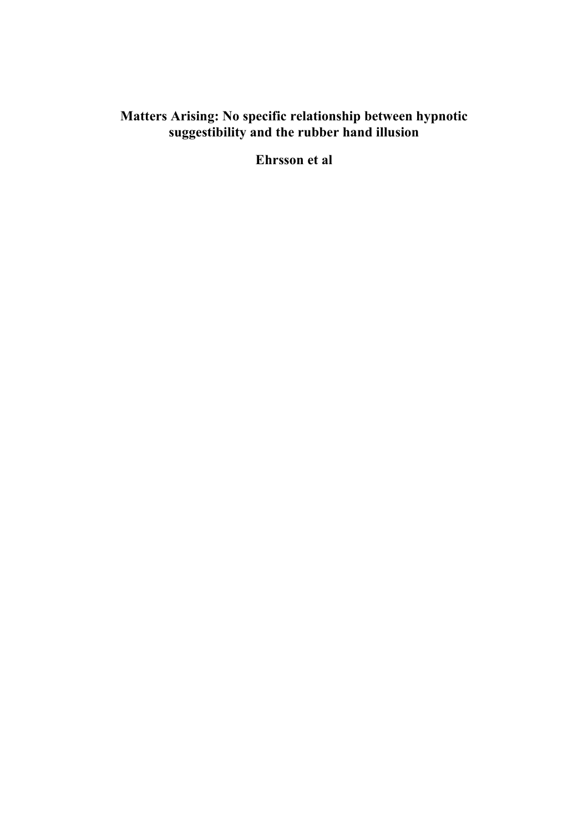## **Matters Arising: No specific relationship between hypnotic suggestibility and the rubber hand illusion**

**Ehrsson et al**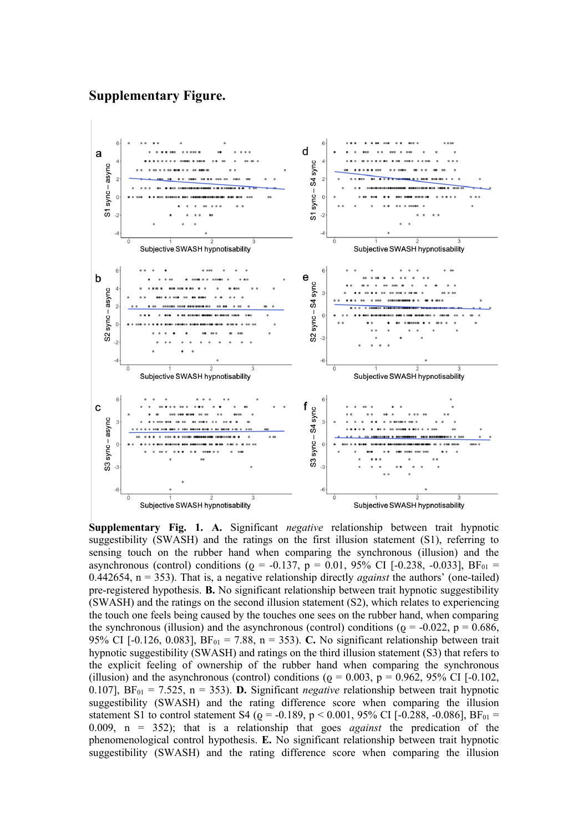### **Supplementary Figure.**



**Supplementary Fig. 1. A.** Significant *negative* relationship between trait hypnotic suggestibility (SWASH) and the ratings on the first illusion statement (S1), referring to sensing touch on the rubber hand when comparing the synchronous (illusion) and the asynchronous (control) conditions ( $\varrho = -0.137$ ,  $p = 0.01$ , 95% CI [-0.238, -0.033], BF<sub>01</sub> = 0.442654, n = 353). That is, a negative relationship directly *against* the authors' (one-tailed) pre-registered hypothesis. **B.** No significant relationship between trait hypnotic suggestibility (SWASH) and the ratings on the second illusion statement (S2), which relates to experiencing the touch one feels being caused by the touches one sees on the rubber hand, when comparing the synchronous (illusion) and the asynchronous (control) conditions ( $\varrho = -0.022$ ,  $p = 0.686$ , 95% CI [-0.126, 0.083],  $BF_{01} = 7.88$ , n = 353). **C.** No significant relationship between trait hypnotic suggestibility (SWASH) and ratings on the third illusion statement (S3) that refers to the explicit feeling of ownership of the rubber hand when comparing the synchronous (illusion) and the asynchronous (control) conditions ( $\varrho = 0.003$ ,  $p = 0.962$ , 95% CI [-0.102, 0.107],  $BF_{01} = 7.525$ , n = 353). **D.** Significant *negative* relationship between trait hypnotic suggestibility (SWASH) and the rating difference score when comparing the illusion statement S1 to control statement S4 ( $\varrho$  = -0.189, p < 0.001, 95% CI [-0.288, -0.086], BF<sub>01</sub> = 0.009, n = 352); that is a relationship that goes *against* the predication of the phenomenological control hypothesis. **E.** No significant relationship between trait hypnotic suggestibility (SWASH) and the rating difference score when comparing the illusion